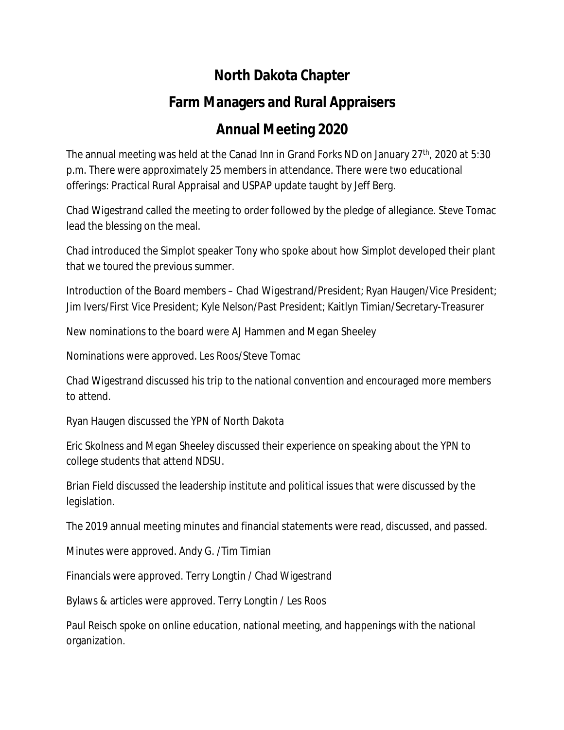## **North Dakota Chapter**

## **Farm Managers and Rural Appraisers**

## **Annual Meeting 2020**

The annual meeting was held at the Canad Inn in Grand Forks ND on January 27<sup>th</sup>, 2020 at 5:30 p.m. There were approximately 25 members in attendance. There were two educational offerings: Practical Rural Appraisal and USPAP update taught by Jeff Berg.

Chad Wigestrand called the meeting to order followed by the pledge of allegiance. Steve Tomac lead the blessing on the meal.

Chad introduced the Simplot speaker Tony who spoke about how Simplot developed their plant that we toured the previous summer.

Introduction of the Board members – Chad Wigestrand/President; Ryan Haugen/Vice President; Jim Ivers/First Vice President; Kyle Nelson/Past President; Kaitlyn Timian/Secretary-Treasurer

New nominations to the board were AJ Hammen and Megan Sheeley

Nominations were approved. Les Roos/Steve Tomac

Chad Wigestrand discussed his trip to the national convention and encouraged more members to attend.

Ryan Haugen discussed the YPN of North Dakota

Eric Skolness and Megan Sheeley discussed their experience on speaking about the YPN to college students that attend NDSU.

Brian Field discussed the leadership institute and political issues that were discussed by the legislation.

The 2019 annual meeting minutes and financial statements were read, discussed, and passed.

Minutes were approved. Andy G. /Tim Timian

Financials were approved. Terry Longtin / Chad Wigestrand

Bylaws & articles were approved. Terry Longtin / Les Roos

Paul Reisch spoke on online education, national meeting, and happenings with the national organization.